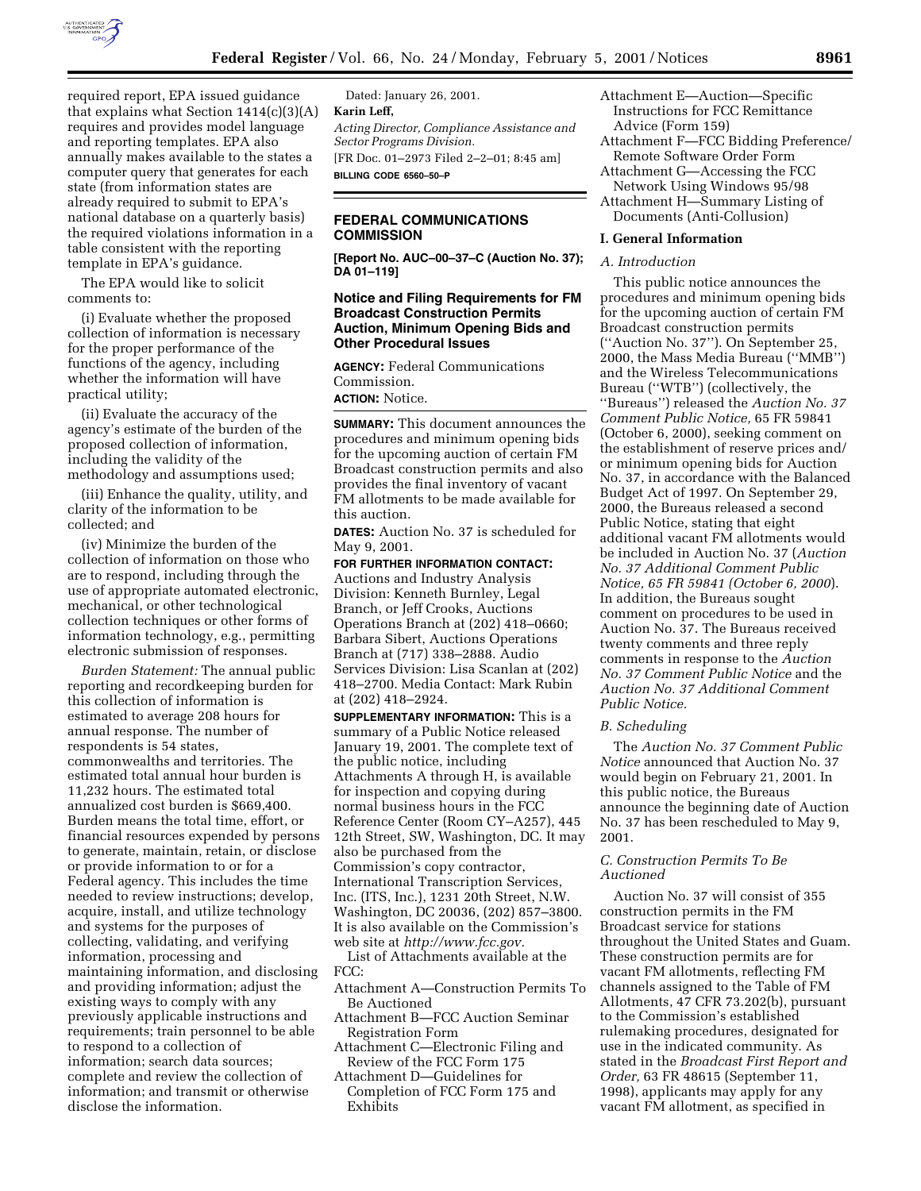

required report, EPA issued guidance that explains what Section  $1414(c)(3)(A)$ requires and provides model language and reporting templates. EPA also annually makes available to the states a computer query that generates for each state (from information states are already required to submit to EPA's national database on a quarterly basis) the required violations information in a table consistent with the reporting template in EPA's guidance.

The EPA would like to solicit comments to:

(i) Evaluate whether the proposed collection of information is necessary for the proper performance of the functions of the agency, including whether the information will have practical utility;

(ii) Evaluate the accuracy of the agency's estimate of the burden of the proposed collection of information, including the validity of the methodology and assumptions used;

(iii) Enhance the quality, utility, and clarity of the information to be collected; and

(iv) Minimize the burden of the collection of information on those who are to respond, including through the use of appropriate automated electronic, mechanical, or other technological collection techniques or other forms of information technology, e.g., permitting electronic submission of responses.

*Burden Statement:* The annual public reporting and recordkeeping burden for this collection of information is estimated to average 208 hours for annual response. The number of respondents is 54 states, commonwealths and territories. The estimated total annual hour burden is 11,232 hours. The estimated total annualized cost burden is \$669,400. Burden means the total time, effort, or financial resources expended by persons to generate, maintain, retain, or disclose or provide information to or for a Federal agency. This includes the time needed to review instructions; develop, acquire, install, and utilize technology and systems for the purposes of collecting, validating, and verifying information, processing and maintaining information, and disclosing and providing information; adjust the existing ways to comply with any previously applicable instructions and requirements; train personnel to be able to respond to a collection of information; search data sources; complete and review the collection of information; and transmit or otherwise disclose the information.

Dated: January 26, 2001. **Karin Leff,** *Acting Director, Compliance Assistance and Sector Programs Division.* [FR Doc. 01–2973 Filed 2–2–01; 8:45 am] **BILLING CODE 6560–50–P**

# **FEDERAL COMMUNICATIONS COMMISSION**

**[Report No. AUC–00–37–C (Auction No. 37); DA 01–119]**

# **Notice and Filing Requirements for FM Broadcast Construction Permits Auction, Minimum Opening Bids and Other Procedural Issues**

**AGENCY:** Federal Communications Commission.

**ACTION:** Notice.

**SUMMARY:** This document announces the procedures and minimum opening bids for the upcoming auction of certain FM Broadcast construction permits and also provides the final inventory of vacant FM allotments to be made available for this auction.

**DATES:** Auction No. 37 is scheduled for May 9, 2001.

**FOR FURTHER INFORMATION CONTACT:** Auctions and Industry Analysis Division: Kenneth Burnley, Legal Branch, or Jeff Crooks, Auctions Operations Branch at (202) 418–0660; Barbara Sibert, Auctions Operations Branch at (717) 338–2888. Audio Services Division: Lisa Scanlan at (202) 418–2700. Media Contact: Mark Rubin at (202) 418–2924.

**SUPPLEMENTARY INFORMATION:** This is a summary of a Public Notice released January 19, 2001. The complete text of the public notice, including Attachments A through H, is available for inspection and copying during normal business hours in the FCC Reference Center (Room CY–A257), 445 12th Street, SW, Washington, DC. It may also be purchased from the Commission's copy contractor, International Transcription Services, Inc. (ITS, Inc.), 1231 20th Street, N.W. Washington, DC 20036, (202) 857–3800. It is also available on the Commission's web site at *http://www.fcc.gov.*

List of Attachments available at the FCC:

- Attachment A—Construction Permits To Be Auctioned
- Attachment B—FCC Auction Seminar Registration Form
- Attachment C—Electronic Filing and Review of the FCC Form 175
- Attachment D—Guidelines for Completion of FCC Form 175 and Exhibits
- Attachment E—Auction—Specific Instructions for FCC Remittance Advice (Form 159)
- Attachment F—FCC Bidding Preference/ Remote Software Order Form
- Attachment G—Accessing the FCC Network Using Windows 95/98
- Attachment H—Summary Listing of Documents (Anti-Collusion)

### **I. General Information**

# *A. Introduction*

This public notice announces the procedures and minimum opening bids for the upcoming auction of certain FM Broadcast construction permits (''Auction No. 37''). On September 25, 2000, the Mass Media Bureau (''MMB'') and the Wireless Telecommunications Bureau (''WTB'') (collectively, the ''Bureaus'') released the *Auction No. 37 Comment Public Notice,* 65 FR 59841 (October 6, 2000), seeking comment on the establishment of reserve prices and/ or minimum opening bids for Auction No. 37, in accordance with the Balanced Budget Act of 1997. On September 29, 2000, the Bureaus released a second Public Notice, stating that eight additional vacant FM allotments would be included in Auction No. 37 (*Auction No. 37 Additional Comment Public Notice, 65 FR 59841 (October 6, 2000*). In addition, the Bureaus sought comment on procedures to be used in Auction No. 37. The Bureaus received twenty comments and three reply comments in response to the *Auction No. 37 Comment Public Notice* and the *Auction No. 37 Additional Comment Public Notice.*

#### *B. Scheduling*

The *Auction No. 37 Comment Public Notice* announced that Auction No. 37 would begin on February 21, 2001. In this public notice, the Bureaus announce the beginning date of Auction No. 37 has been rescheduled to May 9, 2001.

# *C. Construction Permits To Be Auctioned*

Auction No. 37 will consist of 355 construction permits in the FM Broadcast service for stations throughout the United States and Guam. These construction permits are for vacant FM allotments, reflecting FM channels assigned to the Table of FM Allotments, 47 CFR 73.202(b), pursuant to the Commission's established rulemaking procedures, designated for use in the indicated community. As stated in the *Broadcast First Report and Order,* 63 FR 48615 (September 11, 1998), applicants may apply for any vacant FM allotment, as specified in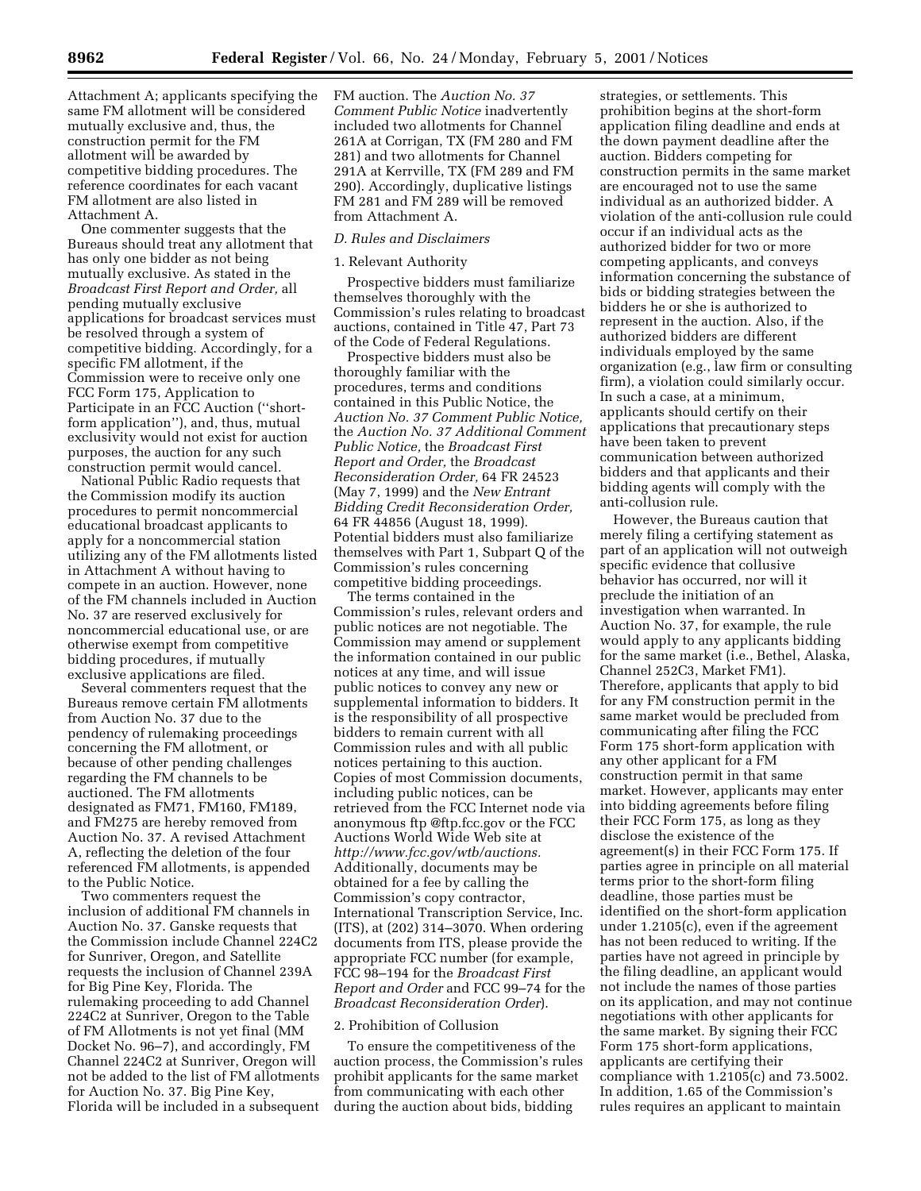Attachment A; applicants specifying the same FM allotment will be considered mutually exclusive and, thus, the construction permit for the FM allotment will be awarded by competitive bidding procedures. The reference coordinates for each vacant FM allotment are also listed in Attachment A.

One commenter suggests that the Bureaus should treat any allotment that has only one bidder as not being mutually exclusive. As stated in the *Broadcast First Report and Order,* all pending mutually exclusive applications for broadcast services must be resolved through a system of competitive bidding. Accordingly, for a specific FM allotment, if the Commission were to receive only one FCC Form 175, Application to Participate in an FCC Auction (''shortform application''), and, thus, mutual exclusivity would not exist for auction purposes, the auction for any such construction permit would cancel.

National Public Radio requests that the Commission modify its auction procedures to permit noncommercial educational broadcast applicants to apply for a noncommercial station utilizing any of the FM allotments listed in Attachment A without having to compete in an auction. However, none of the FM channels included in Auction No. 37 are reserved exclusively for noncommercial educational use, or are otherwise exempt from competitive bidding procedures, if mutually exclusive applications are filed.

Several commenters request that the Bureaus remove certain FM allotments from Auction No. 37 due to the pendency of rulemaking proceedings concerning the FM allotment, or because of other pending challenges regarding the FM channels to be auctioned. The FM allotments designated as FM71, FM160, FM189, and FM275 are hereby removed from Auction No. 37. A revised Attachment A, reflecting the deletion of the four referenced FM allotments, is appended to the Public Notice.

Two commenters request the inclusion of additional FM channels in Auction No. 37. Ganske requests that the Commission include Channel 224C2 for Sunriver, Oregon, and Satellite requests the inclusion of Channel 239A for Big Pine Key, Florida. The rulemaking proceeding to add Channel 224C2 at Sunriver, Oregon to the Table of FM Allotments is not yet final (MM Docket No. 96–7), and accordingly, FM Channel 224C2 at Sunriver, Oregon will not be added to the list of FM allotments for Auction No. 37. Big Pine Key, Florida will be included in a subsequent FM auction. The *Auction No. 37 Comment Public Notice* inadvertently included two allotments for Channel 261A at Corrigan, TX (FM 280 and FM 281) and two allotments for Channel 291A at Kerrville, TX (FM 289 and FM 290). Accordingly, duplicative listings FM 281 and FM 289 will be removed from Attachment A.

# *D. Rules and Disclaimers*

# 1. Relevant Authority

Prospective bidders must familiarize themselves thoroughly with the Commission's rules relating to broadcast auctions, contained in Title 47, Part 73 of the Code of Federal Regulations.

Prospective bidders must also be thoroughly familiar with the procedures, terms and conditions contained in this Public Notice, the *Auction No. 37 Comment Public Notice,* the *Auction No. 37 Additional Comment Public Notice,* the *Broadcast First Report and Order,* the *Broadcast Reconsideration Order,* 64 FR 24523 (May 7, 1999) and the *New Entrant Bidding Credit Reconsideration Order,* 64 FR 44856 (August 18, 1999). Potential bidders must also familiarize themselves with Part 1, Subpart Q of the Commission's rules concerning competitive bidding proceedings.

The terms contained in the Commission's rules, relevant orders and public notices are not negotiable. The Commission may amend or supplement the information contained in our public notices at any time, and will issue public notices to convey any new or supplemental information to bidders. It is the responsibility of all prospective bidders to remain current with all Commission rules and with all public notices pertaining to this auction. Copies of most Commission documents, including public notices, can be retrieved from the FCC Internet node via anonymous ftp @ftp.fcc.gov or the FCC Auctions World Wide Web site at *http://www.fcc.gov/wtb/auctions.* Additionally, documents may be obtained for a fee by calling the Commission's copy contractor, International Transcription Service, Inc. (ITS), at (202) 314–3070. When ordering documents from ITS, please provide the appropriate FCC number (for example, FCC 98–194 for the *Broadcast First Report and Order* and FCC 99–74 for the *Broadcast Reconsideration Order*).

# 2. Prohibition of Collusion

To ensure the competitiveness of the auction process, the Commission's rules prohibit applicants for the same market from communicating with each other during the auction about bids, bidding

strategies, or settlements. This prohibition begins at the short-form application filing deadline and ends at the down payment deadline after the auction. Bidders competing for construction permits in the same market are encouraged not to use the same individual as an authorized bidder. A violation of the anti-collusion rule could occur if an individual acts as the authorized bidder for two or more competing applicants, and conveys information concerning the substance of bids or bidding strategies between the bidders he or she is authorized to represent in the auction. Also, if the authorized bidders are different individuals employed by the same organization (e.g., law firm or consulting firm), a violation could similarly occur. In such a case, at a minimum, applicants should certify on their applications that precautionary steps have been taken to prevent communication between authorized bidders and that applicants and their bidding agents will comply with the anti-collusion rule.

However, the Bureaus caution that merely filing a certifying statement as part of an application will not outweigh specific evidence that collusive behavior has occurred, nor will it preclude the initiation of an investigation when warranted. In Auction No. 37, for example, the rule would apply to any applicants bidding for the same market (i.e., Bethel, Alaska, Channel 252C3, Market FM1). Therefore, applicants that apply to bid for any FM construction permit in the same market would be precluded from communicating after filing the FCC Form 175 short-form application with any other applicant for a FM construction permit in that same market. However, applicants may enter into bidding agreements before filing their FCC Form 175, as long as they disclose the existence of the agreement(s) in their FCC Form 175. If parties agree in principle on all material terms prior to the short-form filing deadline, those parties must be identified on the short-form application under 1.2105(c), even if the agreement has not been reduced to writing. If the parties have not agreed in principle by the filing deadline, an applicant would not include the names of those parties on its application, and may not continue negotiations with other applicants for the same market. By signing their FCC Form 175 short-form applications, applicants are certifying their compliance with 1.2105(c) and 73.5002. In addition, 1.65 of the Commission's rules requires an applicant to maintain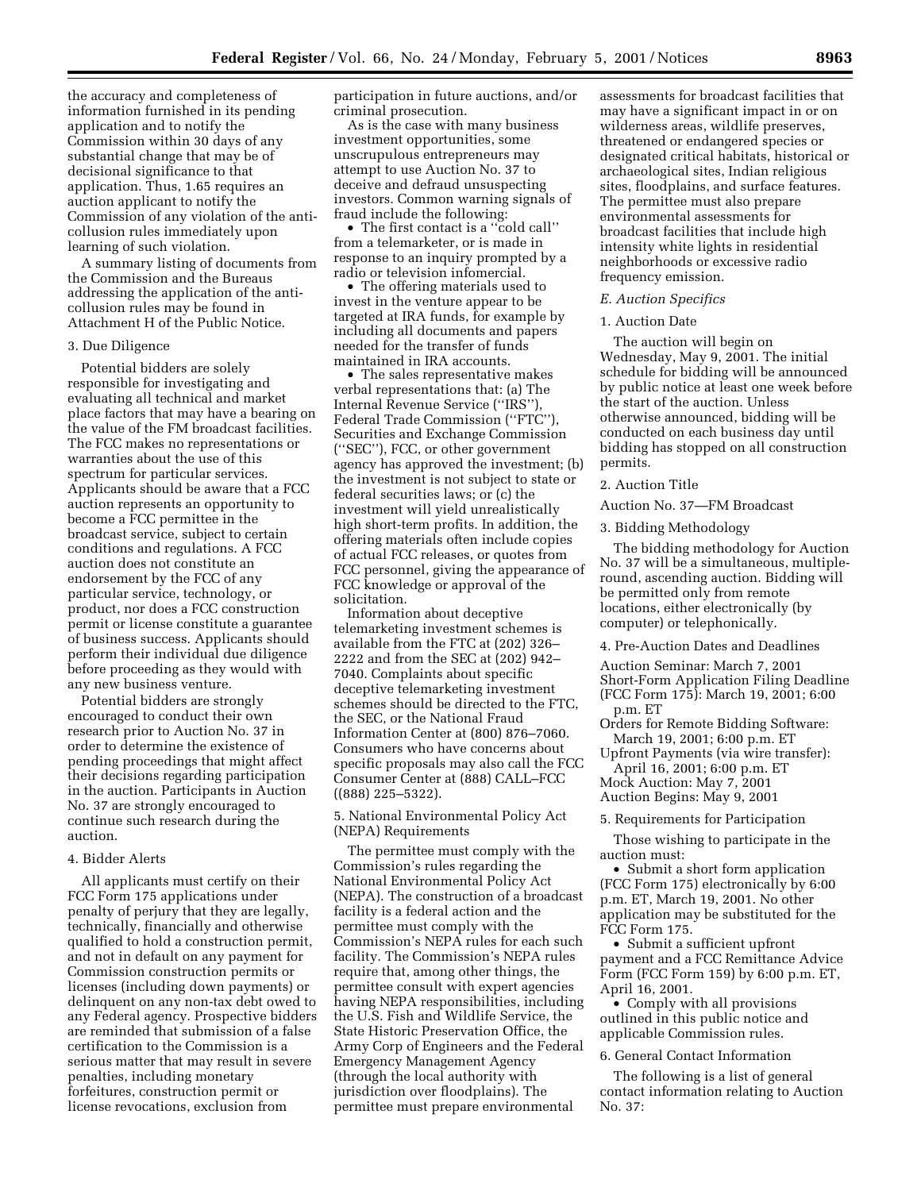the accuracy and completeness of information furnished in its pending application and to notify the Commission within 30 days of any substantial change that may be of decisional significance to that application. Thus, 1.65 requires an auction applicant to notify the Commission of any violation of the anticollusion rules immediately upon learning of such violation.

A summary listing of documents from the Commission and the Bureaus addressing the application of the anticollusion rules may be found in Attachment H of the Public Notice.

#### 3. Due Diligence

Potential bidders are solely responsible for investigating and evaluating all technical and market place factors that may have a bearing on the value of the FM broadcast facilities. The FCC makes no representations or warranties about the use of this spectrum for particular services. Applicants should be aware that a FCC auction represents an opportunity to become a FCC permittee in the broadcast service, subject to certain conditions and regulations. A FCC auction does not constitute an endorsement by the FCC of any particular service, technology, or product, nor does a FCC construction permit or license constitute a guarantee of business success. Applicants should perform their individual due diligence before proceeding as they would with any new business venture.

Potential bidders are strongly encouraged to conduct their own research prior to Auction No. 37 in order to determine the existence of pending proceedings that might affect their decisions regarding participation in the auction. Participants in Auction No. 37 are strongly encouraged to continue such research during the auction.

#### 4. Bidder Alerts

All applicants must certify on their FCC Form 175 applications under penalty of perjury that they are legally, technically, financially and otherwise qualified to hold a construction permit, and not in default on any payment for Commission construction permits or licenses (including down payments) or delinquent on any non-tax debt owed to any Federal agency. Prospective bidders are reminded that submission of a false certification to the Commission is a serious matter that may result in severe penalties, including monetary forfeitures, construction permit or license revocations, exclusion from

participation in future auctions, and/or criminal prosecution.

As is the case with many business investment opportunities, some unscrupulous entrepreneurs may attempt to use Auction No. 37 to deceive and defraud unsuspecting investors. Common warning signals of fraud include the following:

• The first contact is a ''cold call'' from a telemarketer, or is made in response to an inquiry prompted by a radio or television infomercial.

• The offering materials used to invest in the venture appear to be targeted at IRA funds, for example by including all documents and papers needed for the transfer of funds maintained in IRA accounts.

• The sales representative makes verbal representations that: (a) The Internal Revenue Service (''IRS''), Federal Trade Commission (''FTC''), Securities and Exchange Commission (''SEC''), FCC, or other government agency has approved the investment; (b) the investment is not subject to state or federal securities laws; or (c) the investment will yield unrealistically high short-term profits. In addition, the offering materials often include copies of actual FCC releases, or quotes from FCC personnel, giving the appearance of FCC knowledge or approval of the solicitation.

Information about deceptive telemarketing investment schemes is available from the FTC at (202) 326– 2222 and from the SEC at (202) 942– 7040. Complaints about specific deceptive telemarketing investment schemes should be directed to the FTC, the SEC, or the National Fraud Information Center at (800) 876–7060. Consumers who have concerns about specific proposals may also call the FCC Consumer Center at (888) CALL–FCC ((888) 225–5322).

5. National Environmental Policy Act (NEPA) Requirements

The permittee must comply with the Commission's rules regarding the National Environmental Policy Act (NEPA). The construction of a broadcast facility is a federal action and the permittee must comply with the Commission's NEPA rules for each such facility. The Commission's NEPA rules require that, among other things, the permittee consult with expert agencies having NEPA responsibilities, including the U.S. Fish and Wildlife Service, the State Historic Preservation Office, the Army Corp of Engineers and the Federal Emergency Management Agency (through the local authority with jurisdiction over floodplains). The permittee must prepare environmental

assessments for broadcast facilities that may have a significant impact in or on wilderness areas, wildlife preserves, threatened or endangered species or designated critical habitats, historical or archaeological sites, Indian religious sites, floodplains, and surface features. The permittee must also prepare environmental assessments for broadcast facilities that include high intensity white lights in residential neighborhoods or excessive radio frequency emission.

#### *E. Auction Specifics*

# 1. Auction Date

The auction will begin on Wednesday, May 9, 2001. The initial schedule for bidding will be announced by public notice at least one week before the start of the auction. Unless otherwise announced, bidding will be conducted on each business day until bidding has stopped on all construction permits.

#### 2. Auction Title

Auction No. 37—FM Broadcast

3. Bidding Methodology

The bidding methodology for Auction No. 37 will be a simultaneous, multipleround, ascending auction. Bidding will be permitted only from remote locations, either electronically (by computer) or telephonically.

4. Pre-Auction Dates and Deadlines

Auction Seminar: March 7, 2001 Short-Form Application Filing Deadline (FCC Form 175): March 19, 2001; 6:00

p.m. ET

Orders for Remote Bidding Software: March 19, 2001; 6:00 p.m. ET

Upfront Payments (via wire transfer): April 16, 2001; 6:00 p.m. ET

Mock Auction: May 7, 2001 Auction Begins: May 9, 2001

5. Requirements for Participation

Those wishing to participate in the auction must:

• Submit a short form application (FCC Form 175) electronically by 6:00 p.m. ET, March 19, 2001. No other application may be substituted for the FCC Form 175.

• Submit a sufficient upfront payment and a FCC Remittance Advice Form (FCC Form 159) by 6:00 p.m. ET, April 16, 2001.

• Comply with all provisions outlined in this public notice and applicable Commission rules.

#### 6. General Contact Information

The following is a list of general contact information relating to Auction No. 37: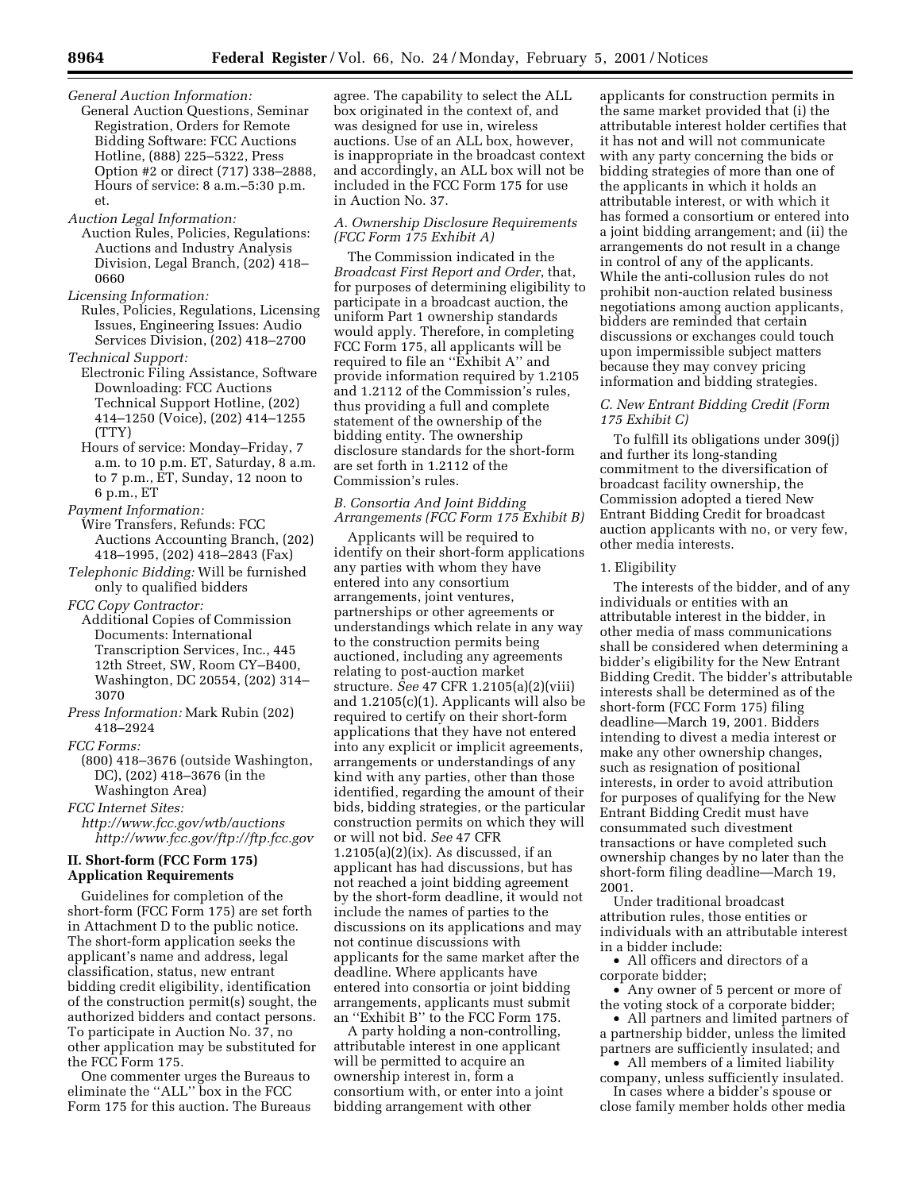- *General Auction Information:* General Auction Questions, Seminar Registration, Orders for Remote Bidding Software: FCC Auctions Hotline, (888) 225–5322, Press Option #2 or direct (717) 338–2888, Hours of service: 8 a.m.–5:30 p.m. et.
- *Auction Legal Information:*
- Auction Rules, Policies, Regulations: Auctions and Industry Analysis Division, Legal Branch, (202) 418– 0660
- *Licensing Information:* Rules, Policies, Regulations, Licensing
- Issues, Engineering Issues: Audio Services Division, (202) 418–2700 *Technical Support:*
- Electronic Filing Assistance, Software Downloading: FCC Auctions Technical Support Hotline, (202) 414–1250 (Voice), (202) 414–1255 (TTY)
- Hours of service: Monday–Friday, 7 a.m. to 10 p.m. ET, Saturday, 8 a.m. to 7 p.m., ET, Sunday, 12 noon to 6 p.m., ET
- *Payment Information:* Wire Transfers, Refunds: FCC Auctions Accounting Branch, (202) 418–1995, (202) 418–2843 (Fax)
- *Telephonic Bidding:* Will be furnished only to qualified bidders

*FCC Copy Contractor:*

- Additional Copies of Commission Documents: International Transcription Services, Inc., 445 12th Street, SW, Room CY–B400, Washington, DC 20554, (202) 314– 3070
- *Press Information:* Mark Rubin (202) 418–2924
- *FCC Forms:*
	- (800) 418–3676 (outside Washington, DC), (202) 418–3676 (in the Washington Area)

*FCC Internet Sites:*

*http://www.fcc.gov/wtb/auctions http://www.fcc.gov/ftp://ftp.fcc.gov*

# **II. Short-form (FCC Form 175) Application Requirements**

Guidelines for completion of the short-form (FCC Form 175) are set forth in Attachment D to the public notice. The short-form application seeks the applicant's name and address, legal classification, status, new entrant bidding credit eligibility, identification of the construction permit(s) sought, the authorized bidders and contact persons. To participate in Auction No. 37, no other application may be substituted for the FCC Form 175.

One commenter urges the Bureaus to eliminate the ''ALL'' box in the FCC Form 175 for this auction. The Bureaus agree. The capability to select the ALL box originated in the context of, and was designed for use in, wireless auctions. Use of an ALL box, however, is inappropriate in the broadcast context and accordingly, an ALL box will not be included in the FCC Form 175 for use in Auction No. 37.

# *A. Ownership Disclosure Requirements (FCC Form 175 Exhibit A)*

The Commission indicated in the *Broadcast First Report and Order*, that, for purposes of determining eligibility to participate in a broadcast auction, the uniform Part 1 ownership standards would apply. Therefore, in completing FCC Form 175, all applicants will be required to file an ''Exhibit A'' and provide information required by 1.2105 and 1.2112 of the Commission's rules, thus providing a full and complete statement of the ownership of the bidding entity. The ownership disclosure standards for the short-form are set forth in 1.2112 of the Commission's rules.

# *B. Consortia And Joint Bidding Arrangements (FCC Form 175 Exhibit B)*

Applicants will be required to identify on their short-form applications any parties with whom they have entered into any consortium arrangements, joint ventures, partnerships or other agreements or understandings which relate in any way to the construction permits being auctioned, including any agreements relating to post-auction market structure. *See* 47 CFR 1.2105(a)(2)(viii) and 1.2105(c)(1). Applicants will also be required to certify on their short-form applications that they have not entered into any explicit or implicit agreements, arrangements or understandings of any kind with any parties, other than those identified, regarding the amount of their bids, bidding strategies, or the particular construction permits on which they will or will not bid. *See* 47 CFR  $1.2105(a)(2)(ix)$ . As discussed, if an applicant has had discussions, but has not reached a joint bidding agreement by the short-form deadline, it would not include the names of parties to the discussions on its applications and may not continue discussions with applicants for the same market after the deadline. Where applicants have entered into consortia or joint bidding arrangements, applicants must submit an ''Exhibit B'' to the FCC Form 175.

A party holding a non-controlling, attributable interest in one applicant will be permitted to acquire an ownership interest in, form a consortium with, or enter into a joint bidding arrangement with other

applicants for construction permits in the same market provided that (i) the attributable interest holder certifies that it has not and will not communicate with any party concerning the bids or bidding strategies of more than one of the applicants in which it holds an attributable interest, or with which it has formed a consortium or entered into a joint bidding arrangement; and (ii) the arrangements do not result in a change in control of any of the applicants. While the anti-collusion rules do not prohibit non-auction related business negotiations among auction applicants, bidders are reminded that certain discussions or exchanges could touch upon impermissible subject matters because they may convey pricing information and bidding strategies.

# *C. New Entrant Bidding Credit (Form 175 Exhibit C)*

To fulfill its obligations under 309(j) and further its long-standing commitment to the diversification of broadcast facility ownership, the Commission adopted a tiered New Entrant Bidding Credit for broadcast auction applicants with no, or very few, other media interests.

# 1. Eligibility

The interests of the bidder, and of any individuals or entities with an attributable interest in the bidder, in other media of mass communications shall be considered when determining a bidder's eligibility for the New Entrant Bidding Credit. The bidder's attributable interests shall be determined as of the short-form (FCC Form 175) filing deadline—March 19, 2001. Bidders intending to divest a media interest or make any other ownership changes, such as resignation of positional interests, in order to avoid attribution for purposes of qualifying for the New Entrant Bidding Credit must have consummated such divestment transactions or have completed such ownership changes by no later than the short-form filing deadline—March 19, 2001.

Under traditional broadcast attribution rules, those entities or individuals with an attributable interest in a bidder include:

• All officers and directors of a corporate bidder;

• Any owner of 5 percent or more of the voting stock of a corporate bidder;

• All partners and limited partners of a partnership bidder, unless the limited partners are sufficiently insulated; and

• All members of a limited liability company, unless sufficiently insulated. In cases where a bidder's spouse or

close family member holds other media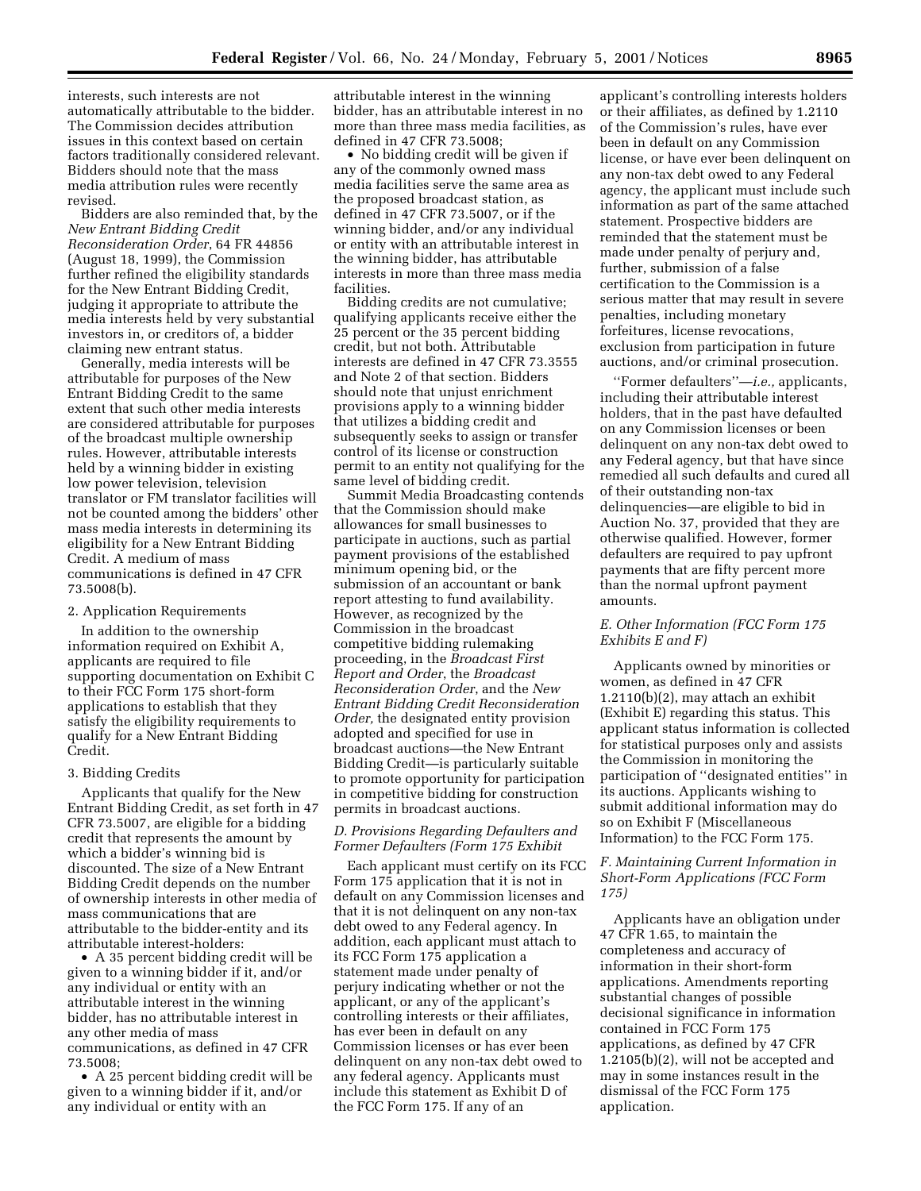interests, such interests are not automatically attributable to the bidder. The Commission decides attribution issues in this context based on certain factors traditionally considered relevant. Bidders should note that the mass media attribution rules were recently revised.

Bidders are also reminded that, by the *New Entrant Bidding Credit Reconsideration Order*, 64 FR 44856 (August 18, 1999), the Commission further refined the eligibility standards for the New Entrant Bidding Credit, judging it appropriate to attribute the media interests held by very substantial investors in, or creditors of, a bidder claiming new entrant status.

Generally, media interests will be attributable for purposes of the New Entrant Bidding Credit to the same extent that such other media interests are considered attributable for purposes of the broadcast multiple ownership rules. However, attributable interests held by a winning bidder in existing low power television, television translator or FM translator facilities will not be counted among the bidders' other mass media interests in determining its eligibility for a New Entrant Bidding Credit. A medium of mass communications is defined in 47 CFR 73.5008(b).

### 2. Application Requirements

In addition to the ownership information required on Exhibit A, applicants are required to file supporting documentation on Exhibit C to their FCC Form 175 short-form applications to establish that they satisfy the eligibility requirements to qualify for a New Entrant Bidding Credit.

#### 3. Bidding Credits

Applicants that qualify for the New Entrant Bidding Credit, as set forth in 47 CFR 73.5007, are eligible for a bidding credit that represents the amount by which a bidder's winning bid is discounted. The size of a New Entrant Bidding Credit depends on the number of ownership interests in other media of mass communications that are attributable to the bidder-entity and its attributable interest-holders:

• A 35 percent bidding credit will be given to a winning bidder if it, and/or any individual or entity with an attributable interest in the winning bidder, has no attributable interest in any other media of mass communications, as defined in 47 CFR 73.5008;

• A 25 percent bidding credit will be given to a winning bidder if it, and/or any individual or entity with an

attributable interest in the winning bidder, has an attributable interest in no more than three mass media facilities, as defined in 47 CFR 73.5008;

• No bidding credit will be given if any of the commonly owned mass media facilities serve the same area as the proposed broadcast station, as defined in 47 CFR 73.5007, or if the winning bidder, and/or any individual or entity with an attributable interest in the winning bidder, has attributable interests in more than three mass media facilities.

Bidding credits are not cumulative; qualifying applicants receive either the 25 percent or the 35 percent bidding credit, but not both. Attributable interests are defined in 47 CFR 73.3555 and Note 2 of that section. Bidders should note that unjust enrichment provisions apply to a winning bidder that utilizes a bidding credit and subsequently seeks to assign or transfer control of its license or construction permit to an entity not qualifying for the same level of bidding credit.

Summit Media Broadcasting contends that the Commission should make allowances for small businesses to participate in auctions, such as partial payment provisions of the established minimum opening bid, or the submission of an accountant or bank report attesting to fund availability. However, as recognized by the Commission in the broadcast competitive bidding rulemaking proceeding, in the *Broadcast First Report and Order*, the *Broadcast Reconsideration Order*, and the *New Entrant Bidding Credit Reconsideration Order,* the designated entity provision adopted and specified for use in broadcast auctions—the New Entrant Bidding Credit—is particularly suitable to promote opportunity for participation in competitive bidding for construction permits in broadcast auctions.

# *D. Provisions Regarding Defaulters and Former Defaulters (Form 175 Exhibit*

Each applicant must certify on its FCC Form 175 application that it is not in default on any Commission licenses and that it is not delinquent on any non-tax debt owed to any Federal agency. In addition, each applicant must attach to its FCC Form 175 application a statement made under penalty of perjury indicating whether or not the applicant, or any of the applicant's controlling interests or their affiliates, has ever been in default on any Commission licenses or has ever been delinquent on any non-tax debt owed to any federal agency. Applicants must include this statement as Exhibit D of the FCC Form 175. If any of an

applicant's controlling interests holders or their affiliates, as defined by 1.2110 of the Commission's rules, have ever been in default on any Commission license, or have ever been delinquent on any non-tax debt owed to any Federal agency, the applicant must include such information as part of the same attached statement. Prospective bidders are reminded that the statement must be made under penalty of perjury and, further, submission of a false certification to the Commission is a serious matter that may result in severe penalties, including monetary forfeitures, license revocations, exclusion from participation in future auctions, and/or criminal prosecution.

''Former defaulters''—*i.e.,* applicants, including their attributable interest holders, that in the past have defaulted on any Commission licenses or been delinquent on any non-tax debt owed to any Federal agency, but that have since remedied all such defaults and cured all of their outstanding non-tax delinquencies—are eligible to bid in Auction No. 37, provided that they are otherwise qualified. However, former defaulters are required to pay upfront payments that are fifty percent more than the normal upfront payment amounts.

# *E. Other Information (FCC Form 175 Exhibits E and F)*

Applicants owned by minorities or women, as defined in 47 CFR 1.2110(b)(2), may attach an exhibit (Exhibit E) regarding this status. This applicant status information is collected for statistical purposes only and assists the Commission in monitoring the participation of ''designated entities'' in its auctions. Applicants wishing to submit additional information may do so on Exhibit F (Miscellaneous Information) to the FCC Form 175.

# *F. Maintaining Current Information in Short-Form Applications (FCC Form 175)*

Applicants have an obligation under 47 CFR 1.65, to maintain the completeness and accuracy of information in their short-form applications. Amendments reporting substantial changes of possible decisional significance in information contained in FCC Form 175 applications, as defined by 47 CFR 1.2105(b)(2), will not be accepted and may in some instances result in the dismissal of the FCC Form 175 application.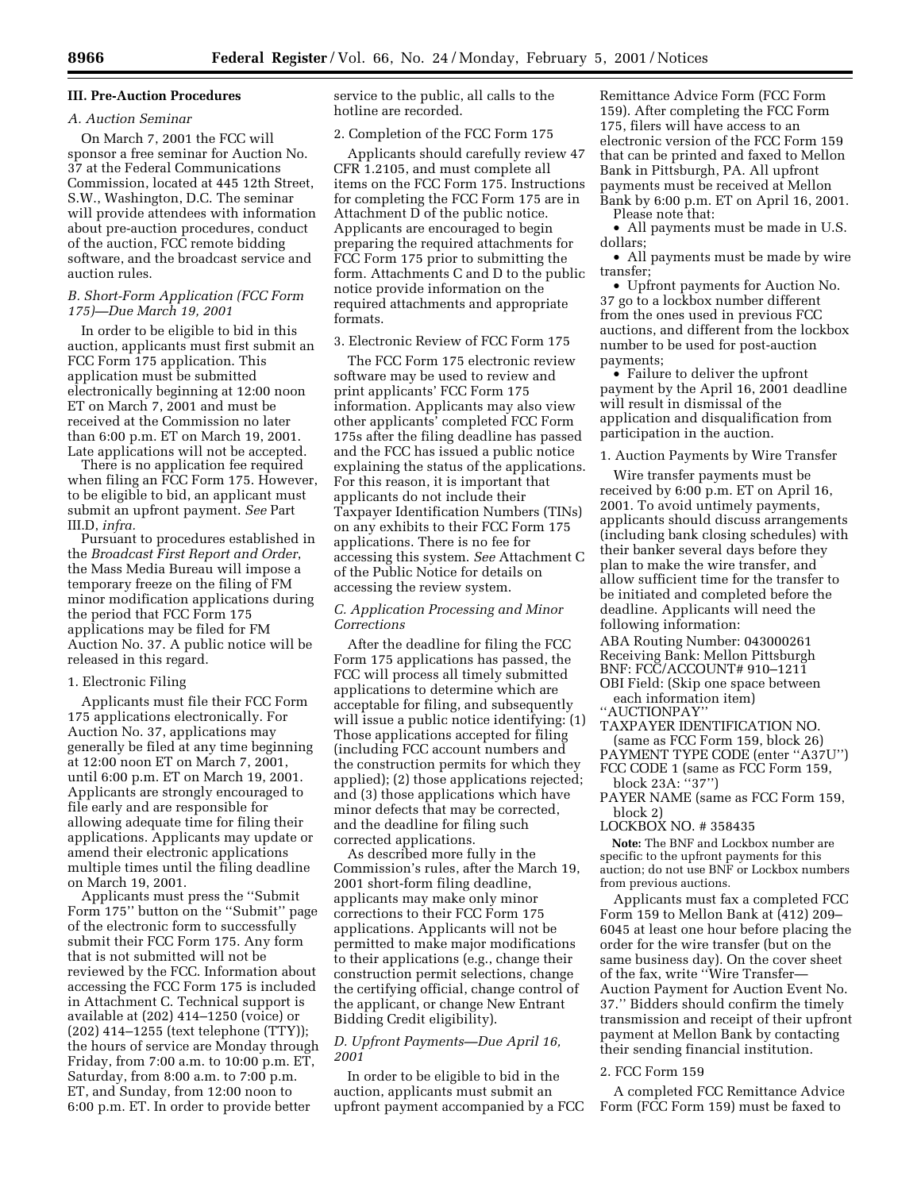# **III. Pre-Auction Procedures**

#### *A. Auction Seminar*

On March 7, 2001 the FCC will sponsor a free seminar for Auction No. 37 at the Federal Communications Commission, located at 445 12th Street, S.W., Washington, D.C. The seminar will provide attendees with information about pre-auction procedures, conduct of the auction, FCC remote bidding software, and the broadcast service and auction rules.

### *B. Short-Form Application (FCC Form 175)—Due March 19, 2001*

In order to be eligible to bid in this auction, applicants must first submit an FCC Form 175 application. This application must be submitted electronically beginning at 12:00 noon ET on March 7, 2001 and must be received at the Commission no later than 6:00 p.m. ET on March 19, 2001. Late applications will not be accepted.

There is no application fee required when filing an FCC Form 175. However, to be eligible to bid, an applicant must submit an upfront payment. *See* Part III.D, *infra.*

Pursuant to procedures established in the *Broadcast First Report and Order*, the Mass Media Bureau will impose a temporary freeze on the filing of FM minor modification applications during the period that FCC Form 175 applications may be filed for FM Auction No. 37. A public notice will be released in this regard.

#### 1. Electronic Filing

Applicants must file their FCC Form 175 applications electronically. For Auction No. 37, applications may generally be filed at any time beginning at 12:00 noon ET on March 7, 2001, until 6:00 p.m. ET on March 19, 2001. Applicants are strongly encouraged to file early and are responsible for allowing adequate time for filing their applications. Applicants may update or amend their electronic applications multiple times until the filing deadline on March 19, 2001.

Applicants must press the ''Submit Form 175'' button on the ''Submit'' page of the electronic form to successfully submit their FCC Form 175. Any form that is not submitted will not be reviewed by the FCC. Information about accessing the FCC Form 175 is included in Attachment C. Technical support is available at (202) 414–1250 (voice) or (202) 414–1255 (text telephone (TTY)); the hours of service are Monday through Friday, from 7:00 a.m. to 10:00 p.m. ET, Saturday, from 8:00 a.m. to 7:00 p.m. ET, and Sunday, from 12:00 noon to 6:00 p.m. ET. In order to provide better

service to the public, all calls to the hotline are recorded.

# 2. Completion of the FCC Form 175

Applicants should carefully review 47 CFR 1.2105, and must complete all items on the FCC Form 175. Instructions for completing the FCC Form 175 are in Attachment D of the public notice. Applicants are encouraged to begin preparing the required attachments for FCC Form 175 prior to submitting the form. Attachments C and D to the public notice provide information on the required attachments and appropriate formats.

### 3. Electronic Review of FCC Form 175

The FCC Form 175 electronic review software may be used to review and print applicants' FCC Form 175 information. Applicants may also view other applicants' completed FCC Form 175s after the filing deadline has passed and the FCC has issued a public notice explaining the status of the applications. For this reason, it is important that applicants do not include their Taxpayer Identification Numbers (TINs) on any exhibits to their FCC Form 175 applications. There is no fee for accessing this system. *See* Attachment C of the Public Notice for details on accessing the review system.

# *C. Application Processing and Minor Corrections*

After the deadline for filing the FCC Form 175 applications has passed, the FCC will process all timely submitted applications to determine which are acceptable for filing, and subsequently will issue a public notice identifying: (1) Those applications accepted for filing (including FCC account numbers and the construction permits for which they applied); (2) those applications rejected; and (3) those applications which have minor defects that may be corrected, and the deadline for filing such corrected applications.

As described more fully in the Commission's rules, after the March 19, 2001 short-form filing deadline, applicants may make only minor corrections to their FCC Form 175 applications. Applicants will not be permitted to make major modifications to their applications (e.g., change their construction permit selections, change the certifying official, change control of the applicant, or change New Entrant Bidding Credit eligibility).

# *D. Upfront Payments—Due April 16, 2001*

In order to be eligible to bid in the auction, applicants must submit an upfront payment accompanied by a FCC Remittance Advice Form (FCC Form 159). After completing the FCC Form 175, filers will have access to an electronic version of the FCC Form 159 that can be printed and faxed to Mellon Bank in Pittsburgh, PA. All upfront payments must be received at Mellon Bank by 6:00 p.m. ET on April 16, 2001. Please note that:

• All payments must be made in U.S. dollars;

• All payments must be made by wire transfer;

• Upfront payments for Auction No. 37 go to a lockbox number different from the ones used in previous FCC auctions, and different from the lockbox number to be used for post-auction payments;

• Failure to deliver the upfront payment by the April 16, 2001 deadline will result in dismissal of the application and disqualification from participation in the auction.

1. Auction Payments by Wire Transfer

Wire transfer payments must be received by 6:00 p.m. ET on April 16, 2001. To avoid untimely payments, applicants should discuss arrangements (including bank closing schedules) with their banker several days before they plan to make the wire transfer, and allow sufficient time for the transfer to be initiated and completed before the deadline. Applicants will need the following information:

ABA Routing Number: 043000261 Receiving Bank: Mellon Pittsburgh BNF: FCC/ACCOUNT# 910–1211

- OBI Field: (Skip one space between each information item)
- ''AUCTIONPAY''
- TAXPAYER IDENTIFICATION NO.
- (same as FCC Form 159, block 26)
- PAYMENT TYPE CODE (enter ''A37U'')
- FCC CODE 1 (same as FCC Form 159, block 23A: ''37'')
- PAYER NAME (same as FCC Form 159, block 2)
- LOCKBOX NO. # 358435

**Note:** The BNF and Lockbox number are specific to the upfront payments for this auction; do not use BNF or Lockbox numbers from previous auctions.

Applicants must fax a completed FCC Form 159 to Mellon Bank at (412) 209– 6045 at least one hour before placing the order for the wire transfer (but on the same business day). On the cover sheet of the fax, write ''Wire Transfer— Auction Payment for Auction Event No. 37.'' Bidders should confirm the timely transmission and receipt of their upfront payment at Mellon Bank by contacting their sending financial institution.

#### 2. FCC Form 159

A completed FCC Remittance Advice Form (FCC Form 159) must be faxed to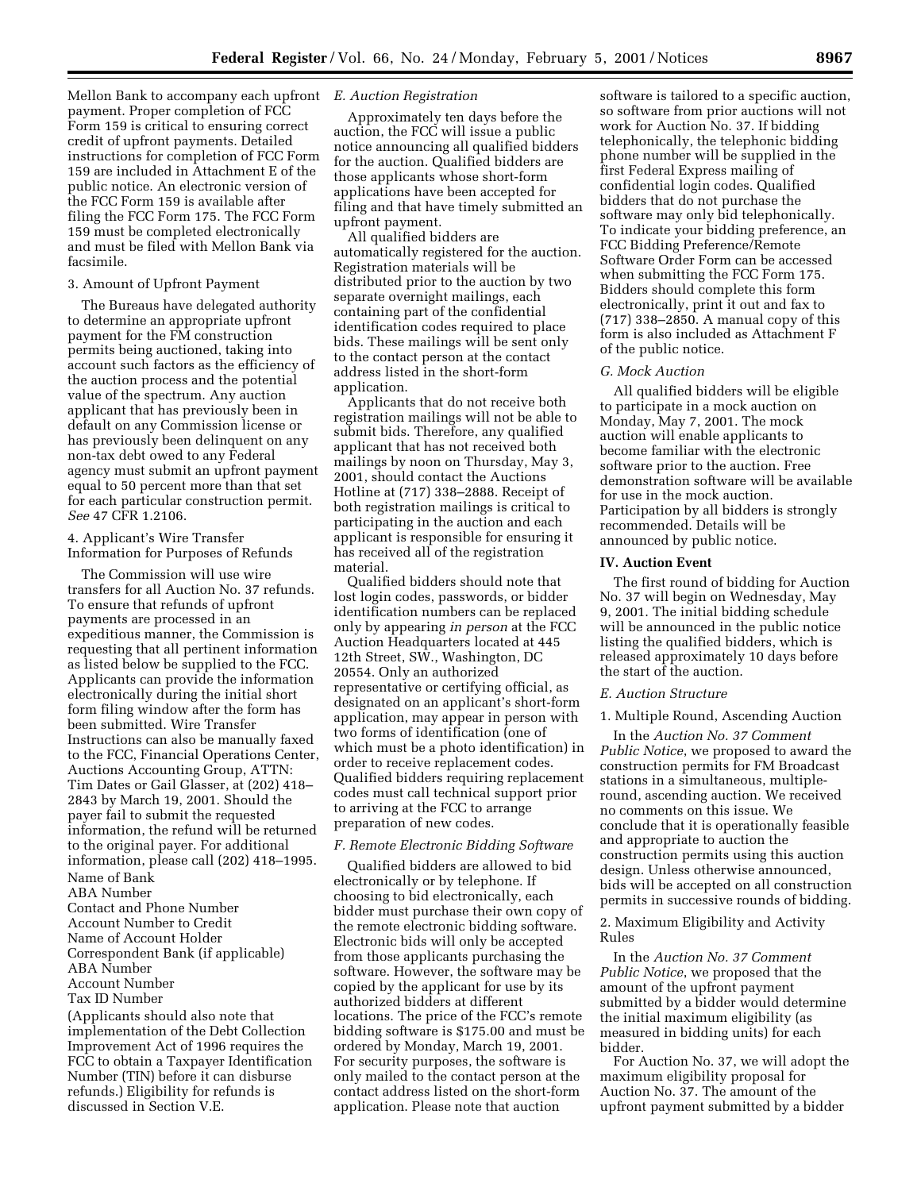Mellon Bank to accompany each upfront *E. Auction Registration* payment. Proper completion of FCC Form 159 is critical to ensuring correct credit of upfront payments. Detailed instructions for completion of FCC Form 159 are included in Attachment E of the public notice. An electronic version of the FCC Form 159 is available after filing the FCC Form 175. The FCC Form 159 must be completed electronically and must be filed with Mellon Bank via facsimile.

#### 3. Amount of Upfront Payment

The Bureaus have delegated authority to determine an appropriate upfront payment for the FM construction permits being auctioned, taking into account such factors as the efficiency of the auction process and the potential value of the spectrum. Any auction applicant that has previously been in default on any Commission license or has previously been delinquent on any non-tax debt owed to any Federal agency must submit an upfront payment equal to 50 percent more than that set for each particular construction permit. *See* 47 CFR 1.2106.

# 4. Applicant's Wire Transfer Information for Purposes of Refunds

The Commission will use wire transfers for all Auction No. 37 refunds. To ensure that refunds of upfront payments are processed in an expeditious manner, the Commission is requesting that all pertinent information as listed below be supplied to the FCC. Applicants can provide the information electronically during the initial short form filing window after the form has been submitted. Wire Transfer Instructions can also be manually faxed to the FCC, Financial Operations Center, Auctions Accounting Group, ATTN: Tim Dates or Gail Glasser, at (202) 418– 2843 by March 19, 2001. Should the payer fail to submit the requested information, the refund will be returned to the original payer. For additional information, please call (202) 418–1995. Name of Bank

# ABA Number

Contact and Phone Number Account Number to Credit Name of Account Holder Correspondent Bank (if applicable) ABA Number Account Number Tax ID Number

(Applicants should also note that implementation of the Debt Collection Improvement Act of 1996 requires the FCC to obtain a Taxpayer Identification Number (TIN) before it can disburse refunds.) Eligibility for refunds is discussed in Section V.E.

Approximately ten days before the auction, the FCC will issue a public notice announcing all qualified bidders for the auction. Qualified bidders are those applicants whose short-form applications have been accepted for filing and that have timely submitted an upfront payment.

All qualified bidders are automatically registered for the auction. Registration materials will be distributed prior to the auction by two separate overnight mailings, each containing part of the confidential identification codes required to place bids. These mailings will be sent only to the contact person at the contact address listed in the short-form application.

Applicants that do not receive both registration mailings will not be able to submit bids. Therefore, any qualified applicant that has not received both mailings by noon on Thursday, May 3, 2001, should contact the Auctions Hotline at (717) 338–2888. Receipt of both registration mailings is critical to participating in the auction and each applicant is responsible for ensuring it has received all of the registration material.

Qualified bidders should note that lost login codes, passwords, or bidder identification numbers can be replaced only by appearing *in person* at the FCC Auction Headquarters located at 445 12th Street, SW., Washington, DC 20554. Only an authorized representative or certifying official, as designated on an applicant's short-form application, may appear in person with two forms of identification (one of which must be a photo identification) in order to receive replacement codes. Qualified bidders requiring replacement codes must call technical support prior to arriving at the FCC to arrange preparation of new codes.

#### *F. Remote Electronic Bidding Software*

Qualified bidders are allowed to bid electronically or by telephone. If choosing to bid electronically, each bidder must purchase their own copy of the remote electronic bidding software. Electronic bids will only be accepted from those applicants purchasing the software. However, the software may be copied by the applicant for use by its authorized bidders at different locations. The price of the FCC's remote bidding software is \$175.00 and must be ordered by Monday, March 19, 2001. For security purposes, the software is only mailed to the contact person at the contact address listed on the short-form application. Please note that auction

software is tailored to a specific auction, so software from prior auctions will not work for Auction No. 37. If bidding telephonically, the telephonic bidding phone number will be supplied in the first Federal Express mailing of confidential login codes. Qualified bidders that do not purchase the software may only bid telephonically. To indicate your bidding preference, an FCC Bidding Preference/Remote Software Order Form can be accessed when submitting the FCC Form 175. Bidders should complete this form electronically, print it out and fax to (717) 338–2850. A manual copy of this form is also included as Attachment F of the public notice.

## *G. Mock Auction*

All qualified bidders will be eligible to participate in a mock auction on Monday, May 7, 2001. The mock auction will enable applicants to become familiar with the electronic software prior to the auction. Free demonstration software will be available for use in the mock auction. Participation by all bidders is strongly recommended. Details will be announced by public notice.

#### **IV. Auction Event**

The first round of bidding for Auction No. 37 will begin on Wednesday, May 9, 2001. The initial bidding schedule will be announced in the public notice listing the qualified bidders, which is released approximately 10 days before the start of the auction.

# *E. Auction Structure*

#### 1. Multiple Round, Ascending Auction

In the *Auction No. 37 Comment Public Notice*, we proposed to award the construction permits for FM Broadcast stations in a simultaneous, multipleround, ascending auction. We received no comments on this issue. We conclude that it is operationally feasible and appropriate to auction the construction permits using this auction design. Unless otherwise announced, bids will be accepted on all construction permits in successive rounds of bidding.

#### 2. Maximum Eligibility and Activity Rules

In the *Auction No. 37 Comment Public Notice*, we proposed that the amount of the upfront payment submitted by a bidder would determine the initial maximum eligibility (as measured in bidding units) for each bidder.

For Auction No. 37, we will adopt the maximum eligibility proposal for Auction No. 37. The amount of the upfront payment submitted by a bidder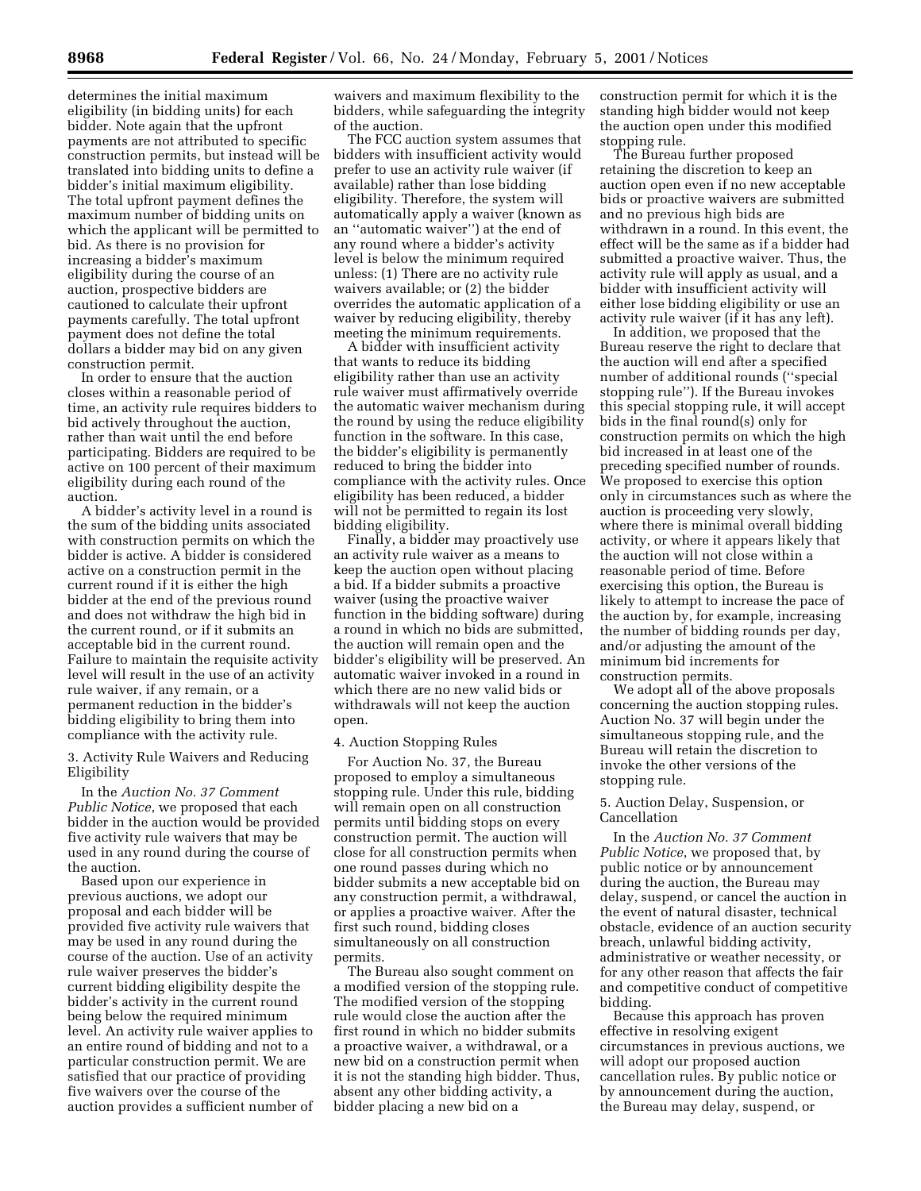determines the initial maximum eligibility (in bidding units) for each bidder. Note again that the upfront payments are not attributed to specific construction permits, but instead will be translated into bidding units to define a bidder's initial maximum eligibility. The total upfront payment defines the maximum number of bidding units on which the applicant will be permitted to bid. As there is no provision for increasing a bidder's maximum eligibility during the course of an auction, prospective bidders are cautioned to calculate their upfront payments carefully. The total upfront payment does not define the total dollars a bidder may bid on any given construction permit.

In order to ensure that the auction closes within a reasonable period of time, an activity rule requires bidders to bid actively throughout the auction, rather than wait until the end before participating. Bidders are required to be active on 100 percent of their maximum eligibility during each round of the auction.

A bidder's activity level in a round is the sum of the bidding units associated with construction permits on which the bidder is active. A bidder is considered active on a construction permit in the current round if it is either the high bidder at the end of the previous round and does not withdraw the high bid in the current round, or if it submits an acceptable bid in the current round. Failure to maintain the requisite activity level will result in the use of an activity rule waiver, if any remain, or a permanent reduction in the bidder's bidding eligibility to bring them into compliance with the activity rule.

3. Activity Rule Waivers and Reducing Eligibility

In the *Auction No. 37 Comment Public Notice*, we proposed that each bidder in the auction would be provided five activity rule waivers that may be used in any round during the course of the auction.

Based upon our experience in previous auctions, we adopt our proposal and each bidder will be provided five activity rule waivers that may be used in any round during the course of the auction. Use of an activity rule waiver preserves the bidder's current bidding eligibility despite the bidder's activity in the current round being below the required minimum level. An activity rule waiver applies to an entire round of bidding and not to a particular construction permit. We are satisfied that our practice of providing five waivers over the course of the auction provides a sufficient number of waivers and maximum flexibility to the bidders, while safeguarding the integrity of the auction.

The FCC auction system assumes that bidders with insufficient activity would prefer to use an activity rule waiver (if available) rather than lose bidding eligibility. Therefore, the system will automatically apply a waiver (known as an ''automatic waiver'') at the end of any round where a bidder's activity level is below the minimum required unless: (1) There are no activity rule waivers available; or (2) the bidder overrides the automatic application of a waiver by reducing eligibility, thereby meeting the minimum requirements.

A bidder with insufficient activity that wants to reduce its bidding eligibility rather than use an activity rule waiver must affirmatively override the automatic waiver mechanism during the round by using the reduce eligibility function in the software. In this case, the bidder's eligibility is permanently reduced to bring the bidder into compliance with the activity rules. Once eligibility has been reduced, a bidder will not be permitted to regain its lost bidding eligibility.

Finally, a bidder may proactively use an activity rule waiver as a means to keep the auction open without placing a bid. If a bidder submits a proactive waiver (using the proactive waiver function in the bidding software) during a round in which no bids are submitted, the auction will remain open and the bidder's eligibility will be preserved. An automatic waiver invoked in a round in which there are no new valid bids or withdrawals will not keep the auction open.

### 4. Auction Stopping Rules

For Auction No. 37, the Bureau proposed to employ a simultaneous stopping rule. Under this rule, bidding will remain open on all construction permits until bidding stops on every construction permit. The auction will close for all construction permits when one round passes during which no bidder submits a new acceptable bid on any construction permit, a withdrawal, or applies a proactive waiver. After the first such round, bidding closes simultaneously on all construction permits.

The Bureau also sought comment on a modified version of the stopping rule. The modified version of the stopping rule would close the auction after the first round in which no bidder submits a proactive waiver, a withdrawal, or a new bid on a construction permit when it is not the standing high bidder. Thus, absent any other bidding activity, a bidder placing a new bid on a

construction permit for which it is the standing high bidder would not keep the auction open under this modified stopping rule.

The Bureau further proposed retaining the discretion to keep an auction open even if no new acceptable bids or proactive waivers are submitted and no previous high bids are withdrawn in a round. In this event, the effect will be the same as if a bidder had submitted a proactive waiver. Thus, the activity rule will apply as usual, and a bidder with insufficient activity will either lose bidding eligibility or use an activity rule waiver (if it has any left).

In addition, we proposed that the Bureau reserve the right to declare that the auction will end after a specified number of additional rounds (''special stopping rule''). If the Bureau invokes this special stopping rule, it will accept bids in the final round(s) only for construction permits on which the high bid increased in at least one of the preceding specified number of rounds. We proposed to exercise this option only in circumstances such as where the auction is proceeding very slowly, where there is minimal overall bidding activity, or where it appears likely that the auction will not close within a reasonable period of time. Before exercising this option, the Bureau is likely to attempt to increase the pace of the auction by, for example, increasing the number of bidding rounds per day, and/or adjusting the amount of the minimum bid increments for construction permits.

We adopt all of the above proposals concerning the auction stopping rules. Auction No. 37 will begin under the simultaneous stopping rule, and the Bureau will retain the discretion to invoke the other versions of the stopping rule.

### 5. Auction Delay, Suspension, or Cancellation

In the *Auction No. 37 Comment Public Notice*, we proposed that, by public notice or by announcement during the auction, the Bureau may delay, suspend, or cancel the auction in the event of natural disaster, technical obstacle, evidence of an auction security breach, unlawful bidding activity, administrative or weather necessity, or for any other reason that affects the fair and competitive conduct of competitive bidding.

Because this approach has proven effective in resolving exigent circumstances in previous auctions, we will adopt our proposed auction cancellation rules. By public notice or by announcement during the auction, the Bureau may delay, suspend, or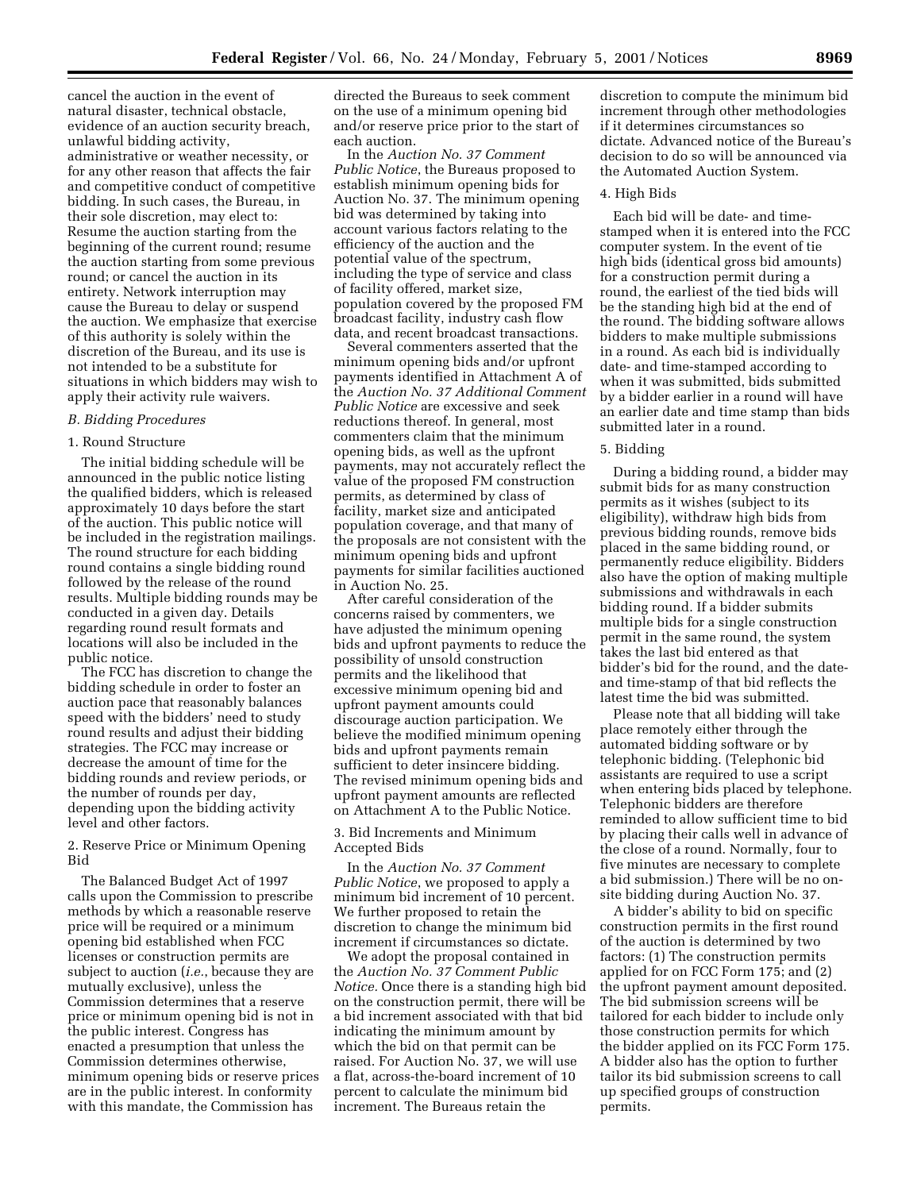cancel the auction in the event of natural disaster, technical obstacle, evidence of an auction security breach, unlawful bidding activity, administrative or weather necessity, or for any other reason that affects the fair and competitive conduct of competitive bidding. In such cases, the Bureau, in their sole discretion, may elect to: Resume the auction starting from the beginning of the current round; resume the auction starting from some previous round; or cancel the auction in its entirety. Network interruption may cause the Bureau to delay or suspend the auction. We emphasize that exercise of this authority is solely within the discretion of the Bureau, and its use is not intended to be a substitute for situations in which bidders may wish to apply their activity rule waivers.

#### *B. Bidding Procedures*

#### 1. Round Structure

The initial bidding schedule will be announced in the public notice listing the qualified bidders, which is released approximately 10 days before the start of the auction. This public notice will be included in the registration mailings. The round structure for each bidding round contains a single bidding round followed by the release of the round results. Multiple bidding rounds may be conducted in a given day. Details regarding round result formats and locations will also be included in the public notice.

The FCC has discretion to change the bidding schedule in order to foster an auction pace that reasonably balances speed with the bidders' need to study round results and adjust their bidding strategies. The FCC may increase or decrease the amount of time for the bidding rounds and review periods, or the number of rounds per day, depending upon the bidding activity level and other factors.

2. Reserve Price or Minimum Opening Bid

The Balanced Budget Act of 1997 calls upon the Commission to prescribe methods by which a reasonable reserve price will be required or a minimum opening bid established when FCC licenses or construction permits are subject to auction (*i.e.*, because they are mutually exclusive), unless the Commission determines that a reserve price or minimum opening bid is not in the public interest. Congress has enacted a presumption that unless the Commission determines otherwise, minimum opening bids or reserve prices are in the public interest. In conformity with this mandate, the Commission has

directed the Bureaus to seek comment on the use of a minimum opening bid and/or reserve price prior to the start of each auction.

In the *Auction No. 37 Comment Public Notice*, the Bureaus proposed to establish minimum opening bids for Auction No. 37. The minimum opening bid was determined by taking into account various factors relating to the efficiency of the auction and the potential value of the spectrum, including the type of service and class of facility offered, market size, population covered by the proposed FM broadcast facility, industry cash flow data, and recent broadcast transactions.

Several commenters asserted that the minimum opening bids and/or upfront payments identified in Attachment A of the *Auction No. 37 Additional Comment Public Notice* are excessive and seek reductions thereof. In general, most commenters claim that the minimum opening bids, as well as the upfront payments, may not accurately reflect the value of the proposed FM construction permits, as determined by class of facility, market size and anticipated population coverage, and that many of the proposals are not consistent with the minimum opening bids and upfront payments for similar facilities auctioned in Auction No. 25.

After careful consideration of the concerns raised by commenters, we have adjusted the minimum opening bids and upfront payments to reduce the possibility of unsold construction permits and the likelihood that excessive minimum opening bid and upfront payment amounts could discourage auction participation. We believe the modified minimum opening bids and upfront payments remain sufficient to deter insincere bidding. The revised minimum opening bids and upfront payment amounts are reflected on Attachment A to the Public Notice.

3. Bid Increments and Minimum Accepted Bids

In the *Auction No. 37 Comment Public Notice*, we proposed to apply a minimum bid increment of 10 percent. We further proposed to retain the discretion to change the minimum bid increment if circumstances so dictate.

We adopt the proposal contained in the *Auction No. 37 Comment Public Notice.* Once there is a standing high bid on the construction permit, there will be a bid increment associated with that bid indicating the minimum amount by which the bid on that permit can be raised. For Auction No. 37, we will use a flat, across-the-board increment of 10 percent to calculate the minimum bid increment. The Bureaus retain the

discretion to compute the minimum bid increment through other methodologies if it determines circumstances so dictate. Advanced notice of the Bureau's decision to do so will be announced via the Automated Auction System.

#### 4. High Bids

Each bid will be date- and timestamped when it is entered into the FCC computer system. In the event of tie high bids (identical gross bid amounts) for a construction permit during a round, the earliest of the tied bids will be the standing high bid at the end of the round. The bidding software allows bidders to make multiple submissions in a round. As each bid is individually date- and time-stamped according to when it was submitted, bids submitted by a bidder earlier in a round will have an earlier date and time stamp than bids submitted later in a round.

#### 5. Bidding

During a bidding round, a bidder may submit bids for as many construction permits as it wishes (subject to its eligibility), withdraw high bids from previous bidding rounds, remove bids placed in the same bidding round, or permanently reduce eligibility. Bidders also have the option of making multiple submissions and withdrawals in each bidding round. If a bidder submits multiple bids for a single construction permit in the same round, the system takes the last bid entered as that bidder's bid for the round, and the dateand time-stamp of that bid reflects the latest time the bid was submitted.

Please note that all bidding will take place remotely either through the automated bidding software or by telephonic bidding. (Telephonic bid assistants are required to use a script when entering bids placed by telephone. Telephonic bidders are therefore reminded to allow sufficient time to bid by placing their calls well in advance of the close of a round. Normally, four to five minutes are necessary to complete a bid submission.) There will be no onsite bidding during Auction No. 37.

A bidder's ability to bid on specific construction permits in the first round of the auction is determined by two factors: (1) The construction permits applied for on FCC Form 175; and (2) the upfront payment amount deposited. The bid submission screens will be tailored for each bidder to include only those construction permits for which the bidder applied on its FCC Form 175. A bidder also has the option to further tailor its bid submission screens to call up specified groups of construction permits.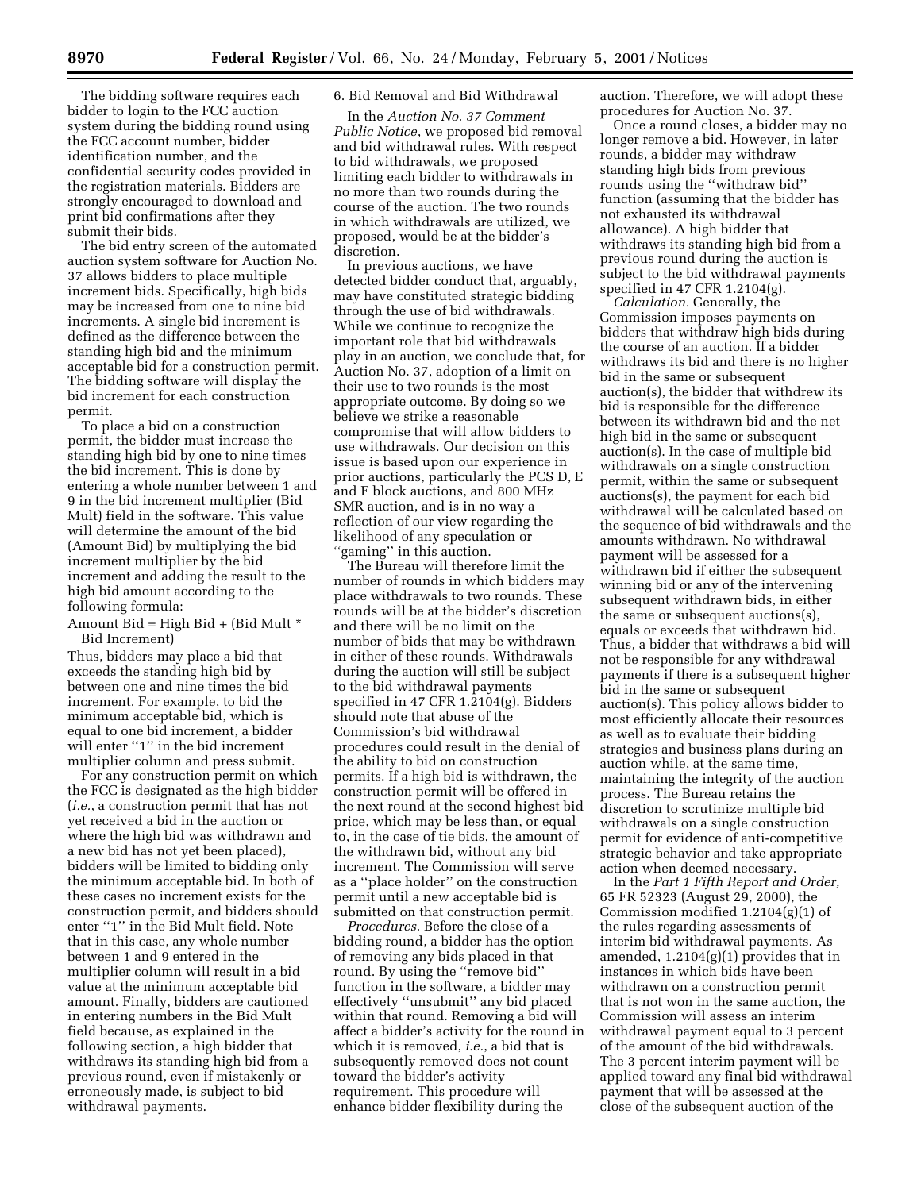The bidding software requires each bidder to login to the FCC auction system during the bidding round using the FCC account number, bidder identification number, and the confidential security codes provided in the registration materials. Bidders are strongly encouraged to download and print bid confirmations after they submit their bids.

The bid entry screen of the automated auction system software for Auction No. 37 allows bidders to place multiple increment bids. Specifically, high bids may be increased from one to nine bid increments. A single bid increment is defined as the difference between the standing high bid and the minimum acceptable bid for a construction permit. The bidding software will display the bid increment for each construction permit.

To place a bid on a construction permit, the bidder must increase the standing high bid by one to nine times the bid increment. This is done by entering a whole number between 1 and 9 in the bid increment multiplier (Bid Mult) field in the software. This value will determine the amount of the bid (Amount Bid) by multiplying the bid increment multiplier by the bid increment and adding the result to the high bid amount according to the following formula:

Amount Bid = High Bid + (Bid Mult  $*$ Bid Increment)

Thus, bidders may place a bid that exceeds the standing high bid by between one and nine times the bid increment. For example, to bid the minimum acceptable bid, which is equal to one bid increment, a bidder will enter "1" in the bid increment multiplier column and press submit.

For any construction permit on which the FCC is designated as the high bidder (*i.e.*, a construction permit that has not yet received a bid in the auction or where the high bid was withdrawn and a new bid has not yet been placed), bidders will be limited to bidding only the minimum acceptable bid. In both of these cases no increment exists for the construction permit, and bidders should enter "1" in the Bid Mult field. Note that in this case, any whole number between 1 and 9 entered in the multiplier column will result in a bid value at the minimum acceptable bid amount. Finally, bidders are cautioned in entering numbers in the Bid Mult field because, as explained in the following section, a high bidder that withdraws its standing high bid from a previous round, even if mistakenly or erroneously made, is subject to bid withdrawal payments.

# 6. Bid Removal and Bid Withdrawal

In the *Auction No. 37 Comment Public Notice*, we proposed bid removal and bid withdrawal rules. With respect to bid withdrawals, we proposed limiting each bidder to withdrawals in no more than two rounds during the course of the auction. The two rounds in which withdrawals are utilized, we proposed, would be at the bidder's discretion.

In previous auctions, we have detected bidder conduct that, arguably, may have constituted strategic bidding through the use of bid withdrawals. While we continue to recognize the important role that bid withdrawals play in an auction, we conclude that, for Auction No. 37, adoption of a limit on their use to two rounds is the most appropriate outcome. By doing so we believe we strike a reasonable compromise that will allow bidders to use withdrawals. Our decision on this issue is based upon our experience in prior auctions, particularly the PCS D, E and F block auctions, and 800 MHz SMR auction, and is in no way a reflection of our view regarding the likelihood of any speculation or "gaming" in this auction.

The Bureau will therefore limit the number of rounds in which bidders may place withdrawals to two rounds. These rounds will be at the bidder's discretion and there will be no limit on the number of bids that may be withdrawn in either of these rounds. Withdrawals during the auction will still be subject to the bid withdrawal payments specified in 47 CFR 1.2104(g). Bidders should note that abuse of the Commission's bid withdrawal procedures could result in the denial of the ability to bid on construction permits. If a high bid is withdrawn, the construction permit will be offered in the next round at the second highest bid price, which may be less than, or equal to, in the case of tie bids, the amount of the withdrawn bid, without any bid increment. The Commission will serve as a ''place holder'' on the construction permit until a new acceptable bid is submitted on that construction permit.

*Procedures.* Before the close of a bidding round, a bidder has the option of removing any bids placed in that round. By using the ''remove bid'' function in the software, a bidder may effectively ''unsubmit'' any bid placed within that round. Removing a bid will affect a bidder's activity for the round in which it is removed, *i.e.*, a bid that is subsequently removed does not count toward the bidder's activity requirement. This procedure will enhance bidder flexibility during the

auction. Therefore, we will adopt these procedures for Auction No. 37.

Once a round closes, a bidder may no longer remove a bid. However, in later rounds, a bidder may withdraw standing high bids from previous rounds using the ''withdraw bid'' function (assuming that the bidder has not exhausted its withdrawal allowance). A high bidder that withdraws its standing high bid from a previous round during the auction is subject to the bid withdrawal payments specified in 47 CFR 1.2104(g).

*Calculation.* Generally, the Commission imposes payments on bidders that withdraw high bids during the course of an auction. If a bidder withdraws its bid and there is no higher bid in the same or subsequent auction(s), the bidder that withdrew its bid is responsible for the difference between its withdrawn bid and the net high bid in the same or subsequent auction(s). In the case of multiple bid withdrawals on a single construction permit, within the same or subsequent auctions(s), the payment for each bid withdrawal will be calculated based on the sequence of bid withdrawals and the amounts withdrawn. No withdrawal payment will be assessed for a withdrawn bid if either the subsequent winning bid or any of the intervening subsequent withdrawn bids, in either the same or subsequent auctions(s), equals or exceeds that withdrawn bid. Thus, a bidder that withdraws a bid will not be responsible for any withdrawal payments if there is a subsequent higher bid in the same or subsequent auction(s). This policy allows bidder to most efficiently allocate their resources as well as to evaluate their bidding strategies and business plans during an auction while, at the same time, maintaining the integrity of the auction process. The Bureau retains the discretion to scrutinize multiple bid withdrawals on a single construction permit for evidence of anti-competitive strategic behavior and take appropriate action when deemed necessary.

In the *Part 1 Fifth Report and Order,* 65 FR 52323 (August 29, 2000), the Commission modified 1.2104(g)(1) of the rules regarding assessments of interim bid withdrawal payments. As amended, 1.2104(g)(1) provides that in instances in which bids have been withdrawn on a construction permit that is not won in the same auction, the Commission will assess an interim withdrawal payment equal to 3 percent of the amount of the bid withdrawals. The 3 percent interim payment will be applied toward any final bid withdrawal payment that will be assessed at the close of the subsequent auction of the